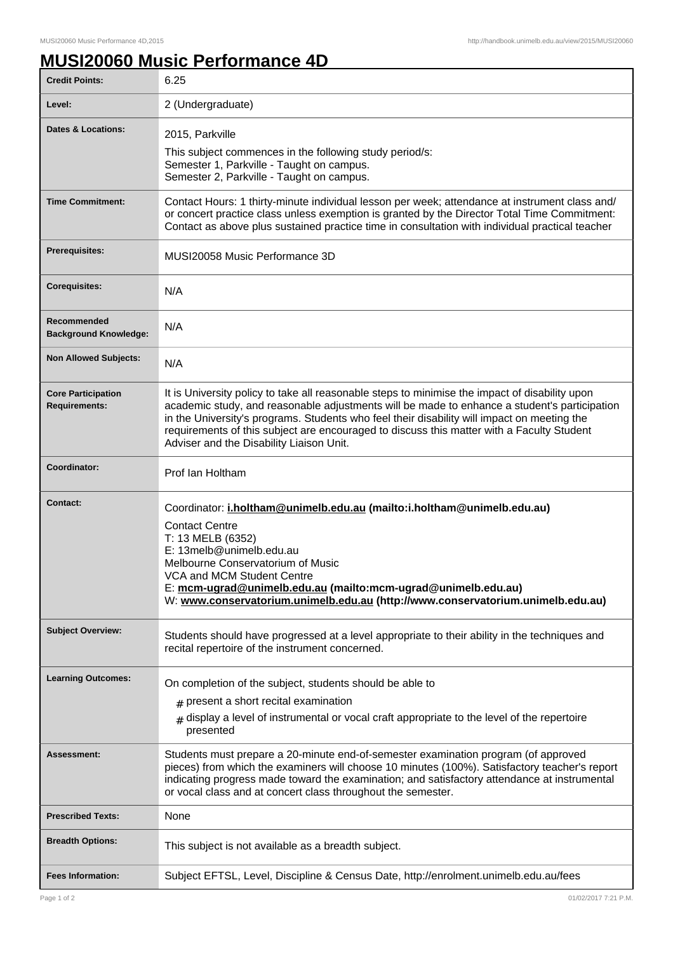## **MUSI20060 Music Performance 4D**

| <b>Credit Points:</b>                             | 6.25                                                                                                                                                                                                                                                                                                                                                                                                                                   |
|---------------------------------------------------|----------------------------------------------------------------------------------------------------------------------------------------------------------------------------------------------------------------------------------------------------------------------------------------------------------------------------------------------------------------------------------------------------------------------------------------|
| Level:                                            | 2 (Undergraduate)                                                                                                                                                                                                                                                                                                                                                                                                                      |
| <b>Dates &amp; Locations:</b>                     | 2015, Parkville                                                                                                                                                                                                                                                                                                                                                                                                                        |
|                                                   | This subject commences in the following study period/s:<br>Semester 1, Parkville - Taught on campus.<br>Semester 2, Parkville - Taught on campus.                                                                                                                                                                                                                                                                                      |
| <b>Time Commitment:</b>                           | Contact Hours: 1 thirty-minute individual lesson per week; attendance at instrument class and/<br>or concert practice class unless exemption is granted by the Director Total Time Commitment:<br>Contact as above plus sustained practice time in consultation with individual practical teacher                                                                                                                                      |
| <b>Prerequisites:</b>                             | MUSI20058 Music Performance 3D                                                                                                                                                                                                                                                                                                                                                                                                         |
| <b>Corequisites:</b>                              | N/A                                                                                                                                                                                                                                                                                                                                                                                                                                    |
| Recommended<br><b>Background Knowledge:</b>       | N/A                                                                                                                                                                                                                                                                                                                                                                                                                                    |
| <b>Non Allowed Subjects:</b>                      | N/A                                                                                                                                                                                                                                                                                                                                                                                                                                    |
| <b>Core Participation</b><br><b>Requirements:</b> | It is University policy to take all reasonable steps to minimise the impact of disability upon<br>academic study, and reasonable adjustments will be made to enhance a student's participation<br>in the University's programs. Students who feel their disability will impact on meeting the<br>requirements of this subject are encouraged to discuss this matter with a Faculty Student<br>Adviser and the Disability Liaison Unit. |
| Coordinator:                                      | Prof Ian Holtham                                                                                                                                                                                                                                                                                                                                                                                                                       |
| <b>Contact:</b>                                   | Coordinator: i.holtham@unimelb.edu.au (mailto:i.holtham@unimelb.edu.au)<br><b>Contact Centre</b><br>T: 13 MELB (6352)<br>E: 13melb@unimelb.edu.au<br>Melbourne Conservatorium of Music<br>VCA and MCM Student Centre<br>E: mcm-ugrad@unimelb.edu.au (mailto:mcm-ugrad@unimelb.edu.au)<br>W: www.conservatorium.unimelb.edu.au (http://www.conservatorium.unimelb.edu.au)                                                               |
| <b>Subject Overview:</b>                          | Students should have progressed at a level appropriate to their ability in the techniques and<br>recital repertoire of the instrument concerned.                                                                                                                                                                                                                                                                                       |
| <b>Learning Outcomes:</b>                         | On completion of the subject, students should be able to<br>$#$ present a short recital examination<br>$#$ display a level of instrumental or vocal craft appropriate to the level of the repertoire<br>presented                                                                                                                                                                                                                      |
| Assessment:                                       | Students must prepare a 20-minute end-of-semester examination program (of approved<br>pieces) from which the examiners will choose 10 minutes (100%). Satisfactory teacher's report<br>indicating progress made toward the examination; and satisfactory attendance at instrumental<br>or vocal class and at concert class throughout the semester.                                                                                    |
| <b>Prescribed Texts:</b>                          | None                                                                                                                                                                                                                                                                                                                                                                                                                                   |
| <b>Breadth Options:</b>                           | This subject is not available as a breadth subject.                                                                                                                                                                                                                                                                                                                                                                                    |
| <b>Fees Information:</b>                          | Subject EFTSL, Level, Discipline & Census Date, http://enrolment.unimelb.edu.au/fees                                                                                                                                                                                                                                                                                                                                                   |